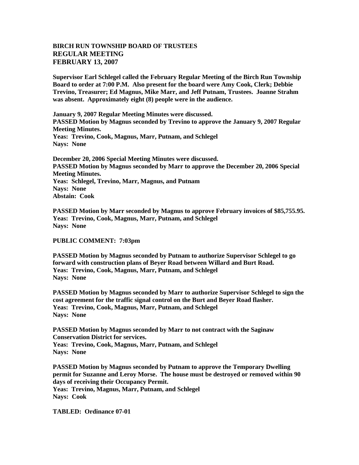## **BIRCH RUN TOWNSHIP BOARD OF TRUSTEES REGULAR MEETING FEBRUARY 13, 2007**

**Supervisor Earl Schlegel called the February Regular Meeting of the Birch Run Township Board to order at 7:00 P.M. Also present for the board were Amy Cook, Clerk; Debbie Trevino, Treasurer; Ed Magnus, Mike Marr, and Jeff Putnam, Trustees. Joanne Strahm was absent. Approximately eight (8) people were in the audience.** 

**January 9, 2007 Regular Meeting Minutes were discussed. PASSED Motion by Magnus seconded by Trevino to approve the January 9, 2007 Regular Meeting Minutes. Yeas: Trevino, Cook, Magnus, Marr, Putnam, and Schlegel Nays: None** 

**December 20, 2006 Special Meeting Minutes were discussed. PASSED Motion by Magnus seconded by Marr to approve the December 20, 2006 Special Meeting Minutes. Yeas: Schlegel, Trevino, Marr, Magnus, and Putnam Nays: None Abstain: Cook**

**PASSED Motion by Marr seconded by Magnus to approve February invoices of \$85,755.95. Yeas: Trevino, Cook, Magnus, Marr, Putnam, and Schlegel Nays: None** 

**PUBLIC COMMENT: 7:03pm**

**PASSED Motion by Magnus seconded by Putnam to authorize Supervisor Schlegel to go forward with construction plans of Beyer Road between Willard and Burt Road. Yeas: Trevino, Cook, Magnus, Marr, Putnam, and Schlegel Nays: None** 

**PASSED Motion by Magnus seconded by Marr to authorize Supervisor Schlegel to sign the cost agreement for the traffic signal control on the Burt and Beyer Road flasher. Yeas: Trevino, Cook, Magnus, Marr, Putnam, and Schlegel Nays: None** 

**PASSED Motion by Magnus seconded by Marr to not contract with the Saginaw Conservation District for services. Yeas: Trevino, Cook, Magnus, Marr, Putnam, and Schlegel Nays: None** 

**PASSED Motion by Magnus seconded by Putnam to approve the Temporary Dwelling permit for Suzanne and Leroy Morse. The house must be destroyed or removed within 90 days of receiving their Occupancy Permit. Yeas: Trevino, Magnus, Marr, Putnam, and Schlegel Nays: Cook**

**TABLED: Ordinance 07-01**